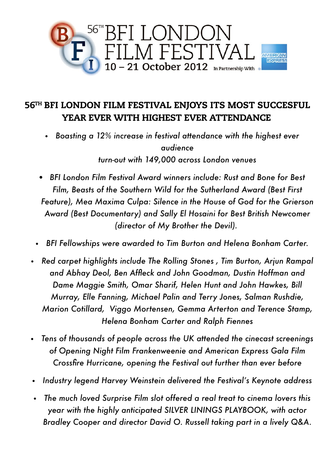

# 56 TH BFI LONDON FILM FESTIVAL ENJOYS ITS MOST SUCCESFUL YEAR EVER WITH HIGHEST EVER ATTENDANCE

 *Boasting a 12% increase in festival attendance with the highest ever audience turn-out with 149,000 across London venues*

 *BFI London Film Festival Award winners include: Rust and Bone for Best Film, Beasts of the Southern Wild for the Sutherland Award (Best First Feature), Mea Maxima Culpa: Silence in the House of God for the Grierson Award (Best Documentary) and Sally El Hosaini for Best British Newcomer (director of My Brother the Devil).*

- *BFI Fellowships were awarded to Tim Burton and Helena Bonham Carter.*
- *Red carpet highlights include The Rolling Stones , Tim Burton, Arjun Rampal and Abhay Deol, Ben Affleck and John Goodman, Dustin Hoffman and Dame Maggie Smith, Omar Sharif, Helen Hunt and John Hawkes, Bill Murray, Elle Fanning, Michael Palin and Terry Jones, Salman Rushdie, Marion Cotillard, Viggo Mortensen, Gemma Arterton and Terence Stamp, Helena Bonham Carter and Ralph Fiennes*
- *Tens of thousands of people across the UK attended the cinecast screenings of Opening Night Film Frankenweenie and American Express Gala Film Crossfire Hurricane, opening the Festival out further than ever before*
- *Industry legend Harvey Weinstein delivered the Festival's Keynote address*
- *The much loved Surprise Film slot offered a real treat to cinema lovers this year with the highly anticipated SILVER LININGS PLAYBOOK, with actor Bradley Cooper and director David O. Russell taking part in a lively Q&A.*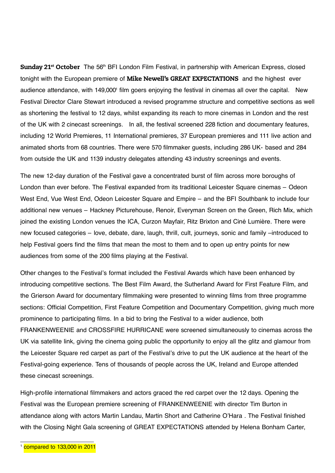**Sunday 21<sup>st</sup> October** The 56<sup>th</sup> BFI London Film Festival, in partnership with American Express, closed tonight with the European premiere of Mike Newell's GREAT EXPECTATIONS and the highest ever audience attendance, with 149,[0](#page-1-0)00<sup>1</sup> film goers enjoying the festival in cinemas all over the capital. New Festival Director Clare Stewart introduced a revised programme structure and competitive sections as well as shortening the festival to 12 days, whilst expanding its reach to more cinemas in London and the rest of the UK with 2 cinecast screenings. In all, the festival screened 228 fiction and documentary features, including 12 World Premieres, 11 International premieres, 37 European premieres and 111 live action and animated shorts from 68 countries. There were 570 filmmaker guests, including 286 UK- based and 284 from outside the UK and 1139 industry delegates attending 43 industry screenings and events.

The new 12-day duration of the Festival gave a concentrated burst of film across more boroughs of London than ever before. The Festival expanded from its traditional Leicester Square cinemas – Odeon West End, Vue West End, Odeon Leicester Square and Empire – and the BFI Southbank to include four additional new venues – Hackney Picturehouse, Renoir, Everyman Screen on the Green, Rich Mix, which joined the existing London venues the ICA, Curzon Mayfair, Ritz Brixton and Ciné Lumière. There were new focused categories – love, debate, dare, laugh, thrill, cult, journeys, sonic and family –introduced to help Festival goers find the films that mean the most to them and to open up entry points for new audiences from some of the 200 films playing at the Festival.

Other changes to the Festival's format included the Festival Awards which have been enhanced by introducing competitive sections. The Best Film Award, the Sutherland Award for First Feature Film, and the Grierson Award for documentary filmmaking were presented to winning films from three programme sections: Official Competition, First Feature Competition and Documentary Competition, giving much more prominence to participating films. In a bid to bring the Festival to a wider audience, both FRANKENWEENIE and CROSSFIRE HURRICANE were screened simultaneously to cinemas across the UK via satellite link, giving the cinema going public the opportunity to enjoy all the glitz and glamour from the Leicester Square red carpet as part of the Festival's drive to put the UK audience at the heart of the Festival-going experience. Tens of thousands of people across the UK, Ireland and Europe attended these cinecast screenings.

<span id="page-1-0"></span>High-profile international filmmakers and actors graced the red carpet over the 12 days. Opening the Festival was the European premiere screening of FRANKENWEENIE with director Tim Burton in attendance along with actors Martin Landau, Martin Short and Catherine O'Hara . The Festival finished with the Closing Night Gala screening of GREAT EXPECTATIONS attended by Helena Bonham Carter,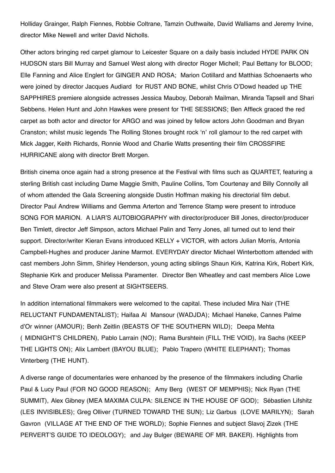Holliday Grainger, Ralph Fiennes, Robbie Coltrane, Tamzin Outhwaite, David Walliams and Jeremy Irvine, director Mike Newell and writer David Nicholls.

Other actors bringing red carpet glamour to Leicester Square on a daily basis included HYDE PARK ON HUDSON stars Bill Murray and Samuel West along with director Roger Michell; Paul Bettany for BLOOD; Elle Fanning and Alice Englert for GINGER AND ROSA; Marion Cotillard and Matthias Schoenaerts who were joined by director Jacques Audiard for RUST AND BONE, whilst Chris O'Dowd headed up THE SAPPHIRES premiere alongside actresses Jessica Mauboy, Deborah Mailman, Miranda Tapsell and Shari Sebbens. Helen Hunt and John Hawkes were present for THE SESSIONS; Ben Affleck graced the red carpet as both actor and director for ARGO and was joined by fellow actors John Goodman and Bryan Cranston; whilst music legends The Rolling Stones brought rock ʻn' roll glamour to the red carpet with Mick Jagger, Keith Richards, Ronnie Wood and Charlie Watts presenting their film CROSSFIRE HURRICANE along with director Brett Morgen.

British cinema once again had a strong presence at the Festival with films such as QUARTET, featuring a sterling British cast including Dame Maggie Smith, Pauline Collins, Tom Courtenay and Billy Connolly all of whom attended the Gala Screening alongside Dustin Hoffman making his directorial film debut. Director Paul Andrew Williams and Gemma Arterton and Terrence Stamp were present to introduce SONG FOR MARION. A LIAR'S AUTOBIOGRAPHY with director/producer Bill Jones, director/producer Ben Timlett, director Jeff Simpson, actors Michael Palin and Terry Jones, all turned out to lend their support. Director/writer Kieran Evans introduced KELLY + VICTOR, with actors Julian Morris, Antonia Campbell-Hughes and producer Janine Marmot. EVERYDAY director Michael Winterbottom attended with cast members John Simm, Shirley Henderson, young acting siblings Shaun Kirk, Katrina Kirk, Robert Kirk, Stephanie Kirk and producer Melissa Paramenter. Director Ben Wheatley and cast members Alice Lowe and Steve Oram were also present at SIGHTSEERS.

In addition international filmmakers were welcomed to the capital. These included Mira Nair (THE RELUCTANT FUNDAMENTALIST); Haifaa Al Mansour (WADJDA); Michael Haneke, Cannes Palme d'Or winner (AMOUR); Benh Zeitlin (BEASTS OF THE SOUTHERN WILD); Deepa Mehta ( MIDNIGHT'S CHILDREN), Pablo Larrain (NO); Rama Burshtein (FILL THE VOID), Ira Sachs (KEEP THE LIGHTS ON); Alix Lambert (BAYOU BLUE); Pablo Trapero (WHITE ELEPHANT); Thomas Vinterberg (THE HUNT).

A diverse range of documentaries were enhanced by the presence of the filmmakers including Charlie Paul & Lucy Paul (FOR NO GOOD REASON); Amy Berg (WEST OF MEMPHIS); Nick Ryan (THE SUMMIT), Alex Gibney (MEA MAXIMA CULPA: SILENCE IN THE HOUSE OF GOD); Sébastien Lifshitz (LES INVISIBLES); Greg Olliver (TURNED TOWARD THE SUN); Liz Garbus (LOVE MARILYN); Sarah Gavron (VILLAGE AT THE END OF THE WORLD); Sophie Fiennes and subject Slavoj Zizek (THE PERVERT'S GUIDE TO IDEOLOGY); and Jay Bulger (BEWARE OF MR. BAKER). Highlights from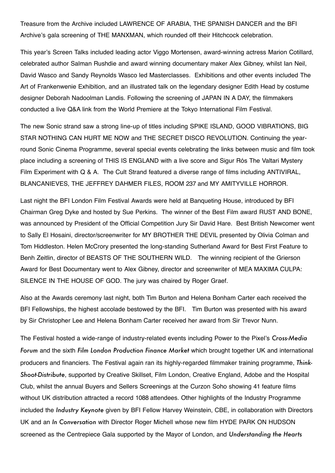Treasure from the Archive included LAWRENCE OF ARABIA, THE SPANISH DANCER and the BFI Archive's gala screening of THE MANXMAN, which rounded off their Hitchcock celebration.

This year's Screen Talks included leading actor Viggo Mortensen, award-winning actress Marion Cotillard, celebrated author Salman Rushdie and award winning documentary maker Alex Gibney, whilst Ian Neil, David Wasco and Sandy Reynolds Wasco led Masterclasses. Exhibitions and other events included The Art of Frankenwenie Exhibition, and an illustrated talk on the legendary designer Edith Head by costume designer Deborah Nadoolman Landis. Following the screening of JAPAN IN A DAY, the filmmakers conducted a live Q&A link from the World Premiere at the Tokyo International Film Festival.

The new Sonic strand saw a strong line-up of titles including SPIKE ISLAND, GOOD VIBRATIONS, BIG STAR NOTHING CAN HURT ME NOW and THE SECRET DISCO REVOLUTION. Continuing the yearround Sonic Cinema Programme, several special events celebrating the links between music and film took place including a screening of THIS IS ENGLAND with a live score and Sigur Rós The Valtari Mystery Film Experiment with Q & A. The Cult Strand featured a diverse range of films including ANTIVIRAL, BLANCANIEVES, THE JEFFREY DAHMER FILES, ROOM 237 and MY AMITYVILLE HORROR.

Last night the BFI London Film Festival Awards were held at Banqueting House, introduced by BFI Chairman Greg Dyke and hosted by Sue Perkins. The winner of the Best Film award RUST AND BONE, was announced by President of the Official Competition Jury Sir David Hare. Best British Newcomer went to Sally El Hosaini, director/screenwriter for MY BROTHER THE DEVIL presented by Olivia Colman and Tom Hiddleston. Helen McCrory presented the long-standing Sutherland Award for Best First Feature to Benh Zeitlin, director of BEASTS OF THE SOUTHERN WILD. The winning recipient of the Grierson Award for Best Documentary went to Alex Gibney, director and screenwriter of MEA MAXIMA CULPA: SILENCE IN THE HOUSE OF GOD. The jury was chaired by Roger Graef.

Also at the Awards ceremony last night, both Tim Burton and Helena Bonham Carter each received the BFI Fellowships, the highest accolade bestowed by the BFI. Tim Burton was presented with his award by Sir Christopher Lee and Helena Bonham Carter received her award from Sir Trevor Nunn.

The Festival hosted a wide-range of industry-related events including Power to the Pixel's *Cross-Media Forum* and the sixth *Film London Production Finance Market* which brought together UK and international producers and financiers. The Festival again ran its highly-regarded filmmaker training programme, *Think-Shoot-Distribute*, supported by Creative Skillset, Film London, Creative England, Adobe and the Hospital Club, whilst the annual Buyers and Sellers Screenings at the Curzon Soho showing 41 feature films without UK distribution attracted a record 1088 attendees. Other highlights of the Industry Programme included the *Industry Keynote* given by BFI Fellow Harvey Weinstein, CBE, in collaboration with Directors UK and an *In Conversation* with Director Roger Michell whose new film HYDE PARK ON HUDSON screened as the Centrepiece Gala supported by the Mayor of London, and *Understanding the Hearts*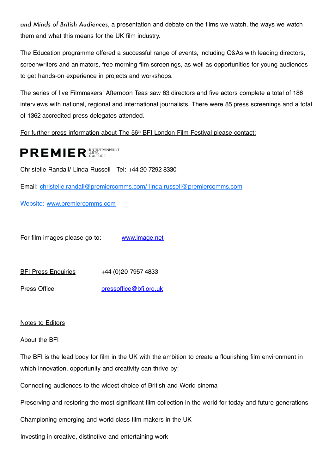*and Minds of British Audiences*, a presentation and debate on the films we watch, the ways we watch them and what this means for the UK film industry.

The Education programme offered a successful range of events, including Q&As with leading directors, screenwriters and animators, free morning film screenings, as well as opportunities for young audiences to get hands-on experience in projects and workshops.

The series of five Filmmakers' Afternoon Teas saw 63 directors and five actors complete a total of 186 interviews with national, regional and international journalists. There were 85 press screenings and a total of 1362 accredited press delegates attended.

For further press information about The 56<sup>th</sup> BFI London Film Festival please contact:

**PREMIER** 

Christelle Randall/ Linda Russell Tel: +44 20 7292 8330

Email: [christelle.randall@premiercomms.com/](mailto:christelle.randall@premiercomms.com/) linda.russell@premiercomms.com

Website: [www.premiercomm](http://www.premiercom/)s.com

For film images please go to: [www.image.net](http://www.image.net/)

BFI Press Enquiries +44 (0)20 7957 4833 Press Office [pressoffice@bfi.org.uk](mailto:pressoffice@bfi.org.uk)

### Notes to Editors

### About the BFI

The BFI is the lead body for film in the UK with the ambition to create a flourishing film environment in which innovation, opportunity and creativity can thrive by:

Connecting audiences to the widest choice of British and World cinema

Preserving and restoring the most significant film collection in the world for today and future generations

Championing emerging and world class film makers in the UK

Investing in creative, distinctive and entertaining work